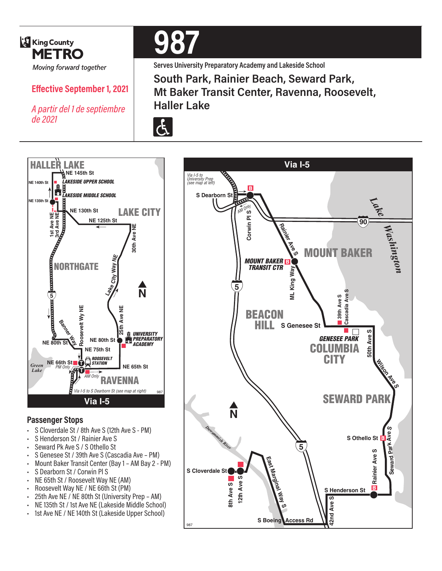

## **Effective September 1, 2021**

*A partir del 1 de septiembre de 2021*



**Serves University Preparatory Academy and Lakeside School**

**South Park, Rainier Beach, Seward Park, Mt Baker Transit Center, Ravenna, Roosevelt, Haller Lake**





#### **Passenger Stops**

- S Cloverdale St / 8th Ave S (12th Ave S PM)
- S Henderson St / Rainier Ave S
- Seward Pk Ave S / S Othello St
- S Genesee St / 39th Ave S (Cascadia Ave PM)
- Mount Baker Transit Center (Bay 1 AM Bay 2 PM)
- S Dearborn St / Corwin Pl S
- NE 65th St / Roosevelt Way NE (AM)
- Roosevelt Way NE / NE 66th St (PM)
- 25th Ave NE / NE 80th St (University Prep AM)
- NE 135th St / 1st Ave NE (Lakeside Middle School)
- 1st Ave NE / NE 140th St (Lakeside Upper School)